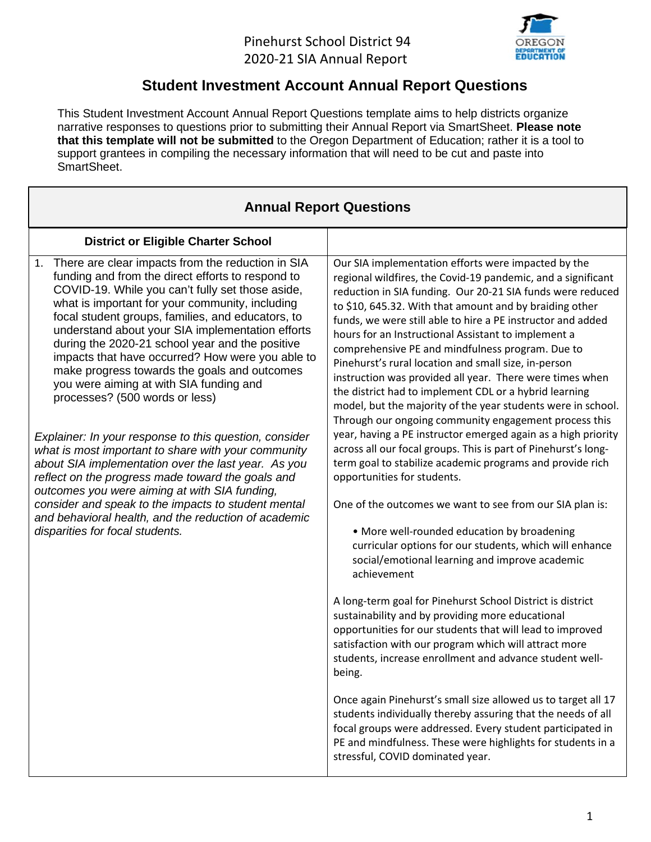## Pinehurst School District 94 2020-21 SIA Annual Report



## **Student Investment Account Annual Report Questions**

This Student Investment Account Annual Report Questions template aims to help districts organize narrative responses to questions prior to submitting their Annual Report via SmartSheet. **Please note that this template will not be submitted** to the Oregon Department of Education; rather it is a tool to support grantees in compiling the necessary information that will need to be cut and paste into SmartSheet.

| <b>Annual Report Questions</b>                                                                                                                                                                                                                                                                                                                                                                                                                                                                                                                                                                                                                                                                                                                                                                                                                                                                                                                                                                |                                                                                                                                                                                                                                                                                                                                                                                                                                                                                                                                                                                                                                                                                                                                                                                                                                                                                                                                                                                                                                                                                                                                                                                                                                                                                                                                                                                                                                                                                                                                                                                                                                                                                                                 |  |  |  |  |  |  |  |
|-----------------------------------------------------------------------------------------------------------------------------------------------------------------------------------------------------------------------------------------------------------------------------------------------------------------------------------------------------------------------------------------------------------------------------------------------------------------------------------------------------------------------------------------------------------------------------------------------------------------------------------------------------------------------------------------------------------------------------------------------------------------------------------------------------------------------------------------------------------------------------------------------------------------------------------------------------------------------------------------------|-----------------------------------------------------------------------------------------------------------------------------------------------------------------------------------------------------------------------------------------------------------------------------------------------------------------------------------------------------------------------------------------------------------------------------------------------------------------------------------------------------------------------------------------------------------------------------------------------------------------------------------------------------------------------------------------------------------------------------------------------------------------------------------------------------------------------------------------------------------------------------------------------------------------------------------------------------------------------------------------------------------------------------------------------------------------------------------------------------------------------------------------------------------------------------------------------------------------------------------------------------------------------------------------------------------------------------------------------------------------------------------------------------------------------------------------------------------------------------------------------------------------------------------------------------------------------------------------------------------------------------------------------------------------------------------------------------------------|--|--|--|--|--|--|--|
| <b>District or Eligible Charter School</b>                                                                                                                                                                                                                                                                                                                                                                                                                                                                                                                                                                                                                                                                                                                                                                                                                                                                                                                                                    |                                                                                                                                                                                                                                                                                                                                                                                                                                                                                                                                                                                                                                                                                                                                                                                                                                                                                                                                                                                                                                                                                                                                                                                                                                                                                                                                                                                                                                                                                                                                                                                                                                                                                                                 |  |  |  |  |  |  |  |
| 1. There are clear impacts from the reduction in SIA<br>funding and from the direct efforts to respond to<br>COVID-19. While you can't fully set those aside,<br>what is important for your community, including<br>focal student groups, families, and educators, to<br>understand about your SIA implementation efforts<br>during the 2020-21 school year and the positive<br>impacts that have occurred? How were you able to<br>make progress towards the goals and outcomes<br>you were aiming at with SIA funding and<br>processes? (500 words or less)<br>Explainer: In your response to this question, consider<br>what is most important to share with your community<br>about SIA implementation over the last year. As you<br>reflect on the progress made toward the goals and<br>outcomes you were aiming at with SIA funding,<br>consider and speak to the impacts to student mental<br>and behavioral health, and the reduction of academic<br>disparities for focal students. | Our SIA implementation efforts were impacted by the<br>regional wildfires, the Covid-19 pandemic, and a significant<br>reduction in SIA funding. Our 20-21 SIA funds were reduced<br>to \$10, 645.32. With that amount and by braiding other<br>funds, we were still able to hire a PE instructor and added<br>hours for an Instructional Assistant to implement a<br>comprehensive PE and mindfulness program. Due to<br>Pinehurst's rural location and small size, in-person<br>instruction was provided all year. There were times when<br>the district had to implement CDL or a hybrid learning<br>model, but the majority of the year students were in school.<br>Through our ongoing community engagement process this<br>year, having a PE instructor emerged again as a high priority<br>across all our focal groups. This is part of Pinehurst's long-<br>term goal to stabilize academic programs and provide rich<br>opportunities for students.<br>One of the outcomes we want to see from our SIA plan is:<br>• More well-rounded education by broadening<br>curricular options for our students, which will enhance<br>social/emotional learning and improve academic<br>achievement<br>A long-term goal for Pinehurst School District is district<br>sustainability and by providing more educational<br>opportunities for our students that will lead to improved<br>satisfaction with our program which will attract more<br>students, increase enrollment and advance student well-<br>being.<br>Once again Pinehurst's small size allowed us to target all 17<br>students individually thereby assuring that the needs of all<br>focal groups were addressed. Every student participated in |  |  |  |  |  |  |  |
|                                                                                                                                                                                                                                                                                                                                                                                                                                                                                                                                                                                                                                                                                                                                                                                                                                                                                                                                                                                               | PE and mindfulness. These were highlights for students in a<br>stressful, COVID dominated year.                                                                                                                                                                                                                                                                                                                                                                                                                                                                                                                                                                                                                                                                                                                                                                                                                                                                                                                                                                                                                                                                                                                                                                                                                                                                                                                                                                                                                                                                                                                                                                                                                 |  |  |  |  |  |  |  |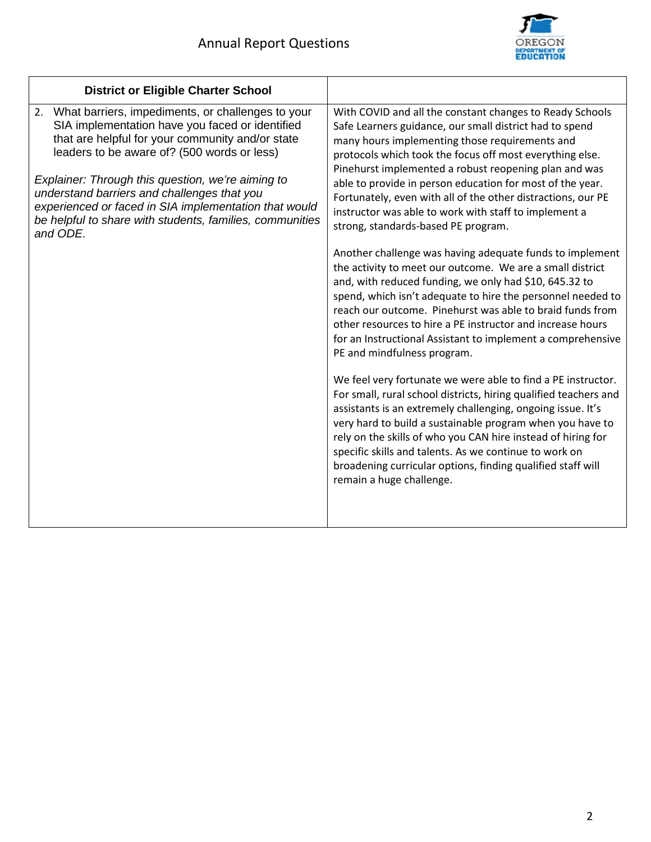

٦

| <b>District or Eligible Charter School</b>                                                                                                                                                                                                                                                                                                                                                                                                                                  |                                                                                                                                                                                                                                                                                                                                                                                                                                                                                                                                                                                                                                                                                                                                                                                                                                                                                                                                                                                                                                                                                                                                                                                                                                                                                                                                                                                                                                                             |
|-----------------------------------------------------------------------------------------------------------------------------------------------------------------------------------------------------------------------------------------------------------------------------------------------------------------------------------------------------------------------------------------------------------------------------------------------------------------------------|-------------------------------------------------------------------------------------------------------------------------------------------------------------------------------------------------------------------------------------------------------------------------------------------------------------------------------------------------------------------------------------------------------------------------------------------------------------------------------------------------------------------------------------------------------------------------------------------------------------------------------------------------------------------------------------------------------------------------------------------------------------------------------------------------------------------------------------------------------------------------------------------------------------------------------------------------------------------------------------------------------------------------------------------------------------------------------------------------------------------------------------------------------------------------------------------------------------------------------------------------------------------------------------------------------------------------------------------------------------------------------------------------------------------------------------------------------------|
| 2. What barriers, impediments, or challenges to your<br>SIA implementation have you faced or identified<br>that are helpful for your community and/or state<br>leaders to be aware of? (500 words or less)<br>Explainer: Through this question, we're aiming to<br>understand barriers and challenges that you<br>experienced or faced in SIA implementation that would<br>be helpful to share with students, families, communities<br>and ODE.<br>remain a huge challenge. | With COVID and all the constant changes to Ready Schools<br>Safe Learners guidance, our small district had to spend<br>many hours implementing those requirements and<br>protocols which took the focus off most everything else.<br>Pinehurst implemented a robust reopening plan and was<br>able to provide in person education for most of the year.<br>Fortunately, even with all of the other distractions, our PE<br>instructor was able to work with staff to implement a<br>strong, standards-based PE program.<br>Another challenge was having adequate funds to implement<br>the activity to meet our outcome. We are a small district<br>and, with reduced funding, we only had \$10, 645.32 to<br>spend, which isn't adequate to hire the personnel needed to<br>reach our outcome. Pinehurst was able to braid funds from<br>other resources to hire a PE instructor and increase hours<br>for an Instructional Assistant to implement a comprehensive<br>PE and mindfulness program.<br>We feel very fortunate we were able to find a PE instructor.<br>For small, rural school districts, hiring qualified teachers and<br>assistants is an extremely challenging, ongoing issue. It's<br>very hard to build a sustainable program when you have to<br>rely on the skills of who you CAN hire instead of hiring for<br>specific skills and talents. As we continue to work on<br>broadening curricular options, finding qualified staff will |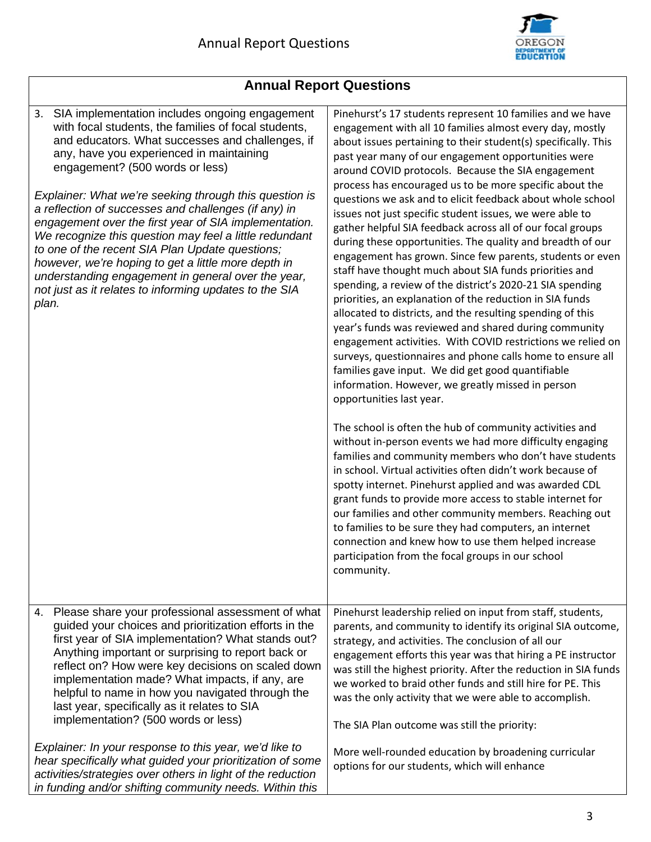

| <b>Annual Report Questions</b>                                                                                                                                                                                                                                                                                                                                                                                                                                                                                                                                                                                                                                                                                       |                                                                                                                                                                                                                                                                                                                                                                                                                                                                                                                                                                                                                                                                                                                                                                                                                                                                                                                                                                                                                                                                                                                                                                                                                                     |  |  |  |  |
|----------------------------------------------------------------------------------------------------------------------------------------------------------------------------------------------------------------------------------------------------------------------------------------------------------------------------------------------------------------------------------------------------------------------------------------------------------------------------------------------------------------------------------------------------------------------------------------------------------------------------------------------------------------------------------------------------------------------|-------------------------------------------------------------------------------------------------------------------------------------------------------------------------------------------------------------------------------------------------------------------------------------------------------------------------------------------------------------------------------------------------------------------------------------------------------------------------------------------------------------------------------------------------------------------------------------------------------------------------------------------------------------------------------------------------------------------------------------------------------------------------------------------------------------------------------------------------------------------------------------------------------------------------------------------------------------------------------------------------------------------------------------------------------------------------------------------------------------------------------------------------------------------------------------------------------------------------------------|--|--|--|--|
| 3. SIA implementation includes ongoing engagement<br>with focal students, the families of focal students,<br>and educators. What successes and challenges, if<br>any, have you experienced in maintaining<br>engagement? (500 words or less)<br>Explainer: What we're seeking through this question is<br>a reflection of successes and challenges (if any) in<br>engagement over the first year of SIA implementation.<br>We recognize this question may feel a little redundant<br>to one of the recent SIA Plan Update questions;<br>however, we're hoping to get a little more depth in<br>understanding engagement in general over the year,<br>not just as it relates to informing updates to the SIA<br>plan. | Pinehurst's 17 students represent 10 families and we have<br>engagement with all 10 families almost every day, mostly<br>about issues pertaining to their student(s) specifically. This<br>past year many of our engagement opportunities were<br>around COVID protocols. Because the SIA engagement<br>process has encouraged us to be more specific about the<br>questions we ask and to elicit feedback about whole school<br>issues not just specific student issues, we were able to<br>gather helpful SIA feedback across all of our focal groups<br>during these opportunities. The quality and breadth of our<br>engagement has grown. Since few parents, students or even<br>staff have thought much about SIA funds priorities and<br>spending, a review of the district's 2020-21 SIA spending<br>priorities, an explanation of the reduction in SIA funds<br>allocated to districts, and the resulting spending of this<br>year's funds was reviewed and shared during community<br>engagement activities. With COVID restrictions we relied on<br>surveys, questionnaires and phone calls home to ensure all<br>families gave input. We did get good quantifiable<br>information. However, we greatly missed in person |  |  |  |  |
|                                                                                                                                                                                                                                                                                                                                                                                                                                                                                                                                                                                                                                                                                                                      | opportunities last year.<br>The school is often the hub of community activities and<br>without in-person events we had more difficulty engaging<br>families and community members who don't have students<br>in school. Virtual activities often didn't work because of<br>spotty internet. Pinehurst applied and was awarded CDL<br>grant funds to provide more access to stable internet for<br>our families and other community members. Reaching out<br>to families to be sure they had computers, an internet<br>connection and knew how to use them helped increase<br>participation from the focal groups in our school<br>community.                                                                                                                                                                                                                                                                                                                                                                                                                                                                                                                                                                                        |  |  |  |  |
| Please share your professional assessment of what<br>4.<br>guided your choices and prioritization efforts in the<br>first year of SIA implementation? What stands out?<br>Anything important or surprising to report back or<br>reflect on? How were key decisions on scaled down<br>implementation made? What impacts, if any, are<br>helpful to name in how you navigated through the<br>last year, specifically as it relates to SIA<br>implementation? (500 words or less)                                                                                                                                                                                                                                       | Pinehurst leadership relied on input from staff, students,<br>parents, and community to identify its original SIA outcome,<br>strategy, and activities. The conclusion of all our<br>engagement efforts this year was that hiring a PE instructor<br>was still the highest priority. After the reduction in SIA funds<br>we worked to braid other funds and still hire for PE. This<br>was the only activity that we were able to accomplish.<br>The SIA Plan outcome was still the priority:                                                                                                                                                                                                                                                                                                                                                                                                                                                                                                                                                                                                                                                                                                                                       |  |  |  |  |
| Explainer: In your response to this year, we'd like to<br>hear specifically what guided your prioritization of some                                                                                                                                                                                                                                                                                                                                                                                                                                                                                                                                                                                                  | More well-rounded education by broadening curricular<br>options for our students, which will enhance                                                                                                                                                                                                                                                                                                                                                                                                                                                                                                                                                                                                                                                                                                                                                                                                                                                                                                                                                                                                                                                                                                                                |  |  |  |  |

*activities/strategies over others in light of the reduction in funding and/or shifting community needs. Within this* 

## 3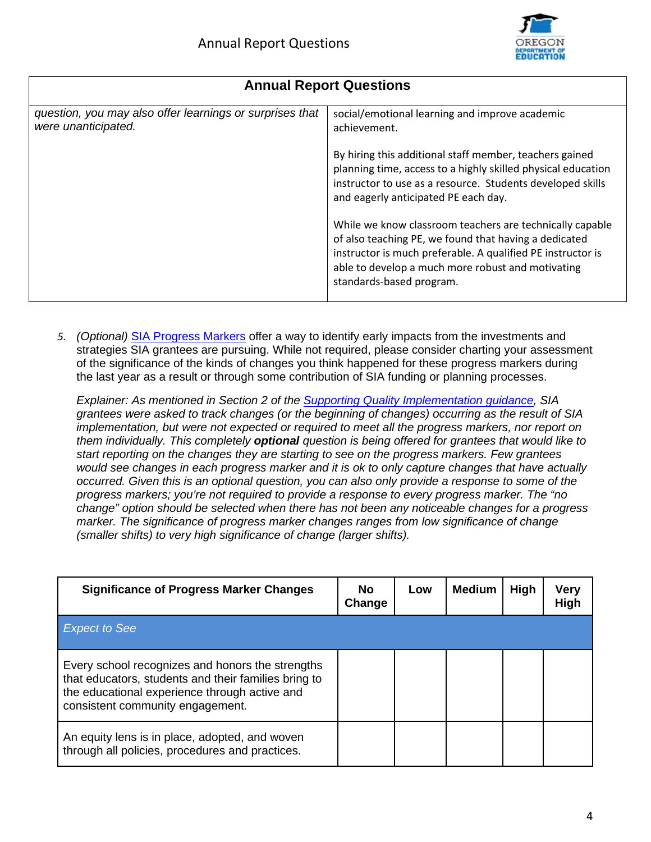

| <b>Annual Report Questions</b>                                                  |                                                                                                                                                                                                                                                                   |  |  |  |  |  |  |  |
|---------------------------------------------------------------------------------|-------------------------------------------------------------------------------------------------------------------------------------------------------------------------------------------------------------------------------------------------------------------|--|--|--|--|--|--|--|
| question, you may also offer learnings or surprises that<br>were unanticipated. | social/emotional learning and improve academic<br>achievement.                                                                                                                                                                                                    |  |  |  |  |  |  |  |
|                                                                                 | By hiring this additional staff member, teachers gained<br>planning time, access to a highly skilled physical education<br>instructor to use as a resource. Students developed skills<br>and eagerly anticipated PE each day.                                     |  |  |  |  |  |  |  |
|                                                                                 | While we know classroom teachers are technically capable<br>of also teaching PE, we found that having a dedicated<br>instructor is much preferable. A qualified PE instructor is<br>able to develop a much more robust and motivating<br>standards-based program. |  |  |  |  |  |  |  |

*5. (Optional)* [SIA Progress Markers](https://www.oregon.gov/ode/StudentSuccess/Documents/SIAProgressMarkersFinal.pdf) offer a way to identify early impacts from the investments and strategies SIA grantees are pursuing. While not required, please consider charting your assessment of the significance of the kinds of changes you think happened for these progress markers during the last year as a result or through some contribution of SIA funding or planning processes.

*Explainer: As mentioned in Section 2 of the [Supporting Quality Implementation guidance,](https://www.oregon.gov/ode/StudentSuccess/Documents/SIAsupportingqualityimplementation.pdf) SIA grantees were asked to track changes (or the beginning of changes) occurring as the result of SIA implementation, but were not expected or required to meet all the progress markers, nor report on them individually. This completely optional question is being offered for grantees that would like to start reporting on the changes they are starting to see on the progress markers. Few grantees would see changes in each progress marker and it is ok to only capture changes that have actually occurred. Given this is an optional question, you can also only provide a response to some of the progress markers; you're not required to provide a response to every progress marker. The "no change" option should be selected when there has not been any noticeable changes for a progress marker. The significance of progress marker changes ranges from low significance of change (smaller shifts) to very high significance of change (larger shifts).*

| <b>Significance of Progress Marker Changes</b>                                                                                                                                                | No.<br>Change | Low | <b>Medium</b> | <b>High</b> | Very<br>High |
|-----------------------------------------------------------------------------------------------------------------------------------------------------------------------------------------------|---------------|-----|---------------|-------------|--------------|
| <b>Expect to See</b>                                                                                                                                                                          |               |     |               |             |              |
| Every school recognizes and honors the strengths<br>that educators, students and their families bring to<br>the educational experience through active and<br>consistent community engagement. |               |     |               |             |              |
| An equity lens is in place, adopted, and woven<br>through all policies, procedures and practices.                                                                                             |               |     |               |             |              |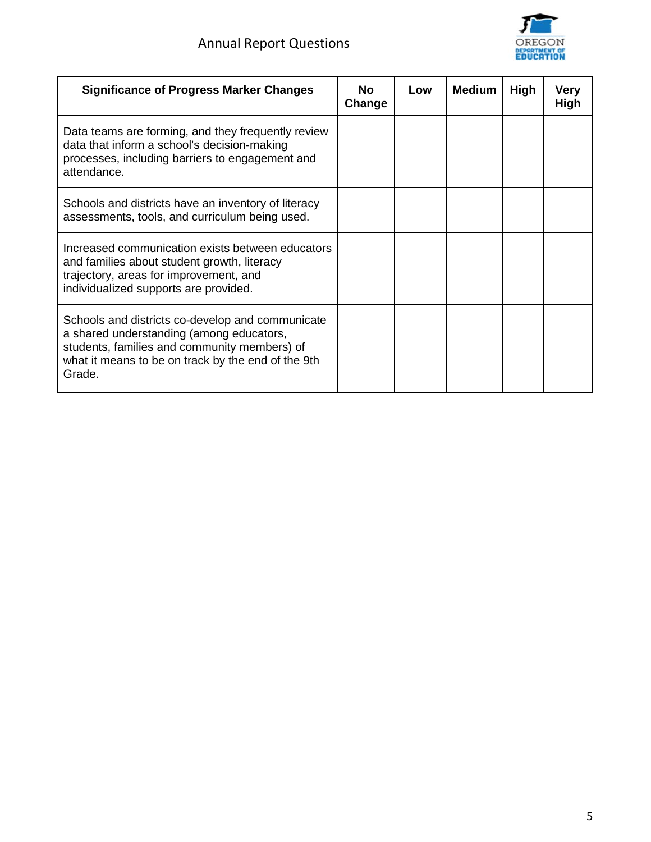

| <b>Significance of Progress Marker Changes</b>                                                                                                                                                               | <b>No</b><br>Change | Low | <b>Medium</b> | <b>High</b> | Very<br>High |
|--------------------------------------------------------------------------------------------------------------------------------------------------------------------------------------------------------------|---------------------|-----|---------------|-------------|--------------|
| Data teams are forming, and they frequently review<br>data that inform a school's decision-making<br>processes, including barriers to engagement and<br>attendance.                                          |                     |     |               |             |              |
| Schools and districts have an inventory of literacy<br>assessments, tools, and curriculum being used.                                                                                                        |                     |     |               |             |              |
| Increased communication exists between educators<br>and families about student growth, literacy<br>trajectory, areas for improvement, and<br>individualized supports are provided.                           |                     |     |               |             |              |
| Schools and districts co-develop and communicate<br>a shared understanding (among educators,<br>students, families and community members) of<br>what it means to be on track by the end of the 9th<br>Grade. |                     |     |               |             |              |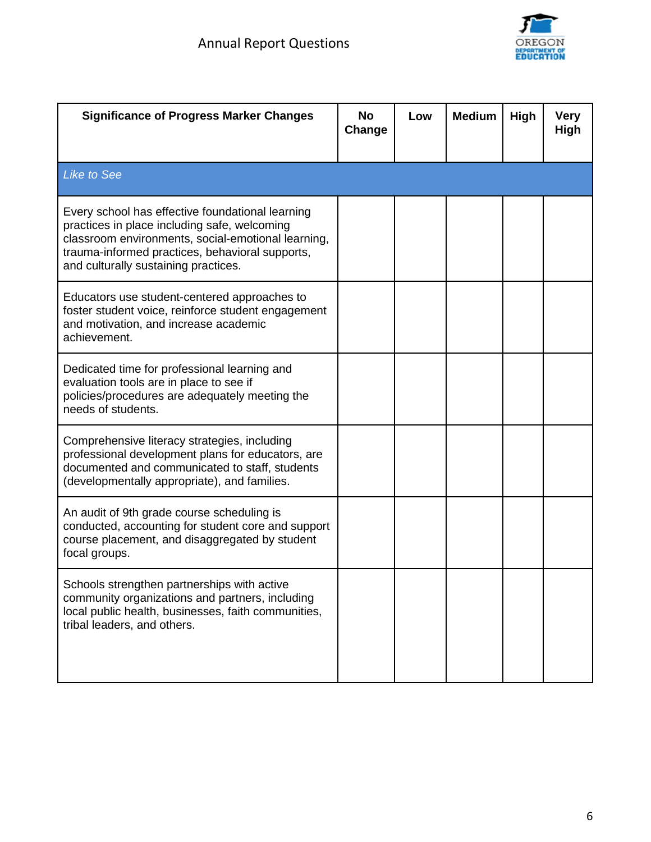

| <b>Significance of Progress Marker Changes</b>                                                                                                                                                                                                    | <b>No</b><br>Change | Low | <b>Medium</b> | High | <b>Very</b><br><b>High</b> |
|---------------------------------------------------------------------------------------------------------------------------------------------------------------------------------------------------------------------------------------------------|---------------------|-----|---------------|------|----------------------------|
| <b>Like to See</b>                                                                                                                                                                                                                                |                     |     |               |      |                            |
| Every school has effective foundational learning<br>practices in place including safe, welcoming<br>classroom environments, social-emotional learning,<br>trauma-informed practices, behavioral supports,<br>and culturally sustaining practices. |                     |     |               |      |                            |
| Educators use student-centered approaches to<br>foster student voice, reinforce student engagement<br>and motivation, and increase academic<br>achievement.                                                                                       |                     |     |               |      |                            |
| Dedicated time for professional learning and<br>evaluation tools are in place to see if<br>policies/procedures are adequately meeting the<br>needs of students.                                                                                   |                     |     |               |      |                            |
| Comprehensive literacy strategies, including<br>professional development plans for educators, are<br>documented and communicated to staff, students<br>(developmentally appropriate), and families.                                               |                     |     |               |      |                            |
| An audit of 9th grade course scheduling is<br>conducted, accounting for student core and support<br>course placement, and disaggregated by student<br>focal groups.                                                                               |                     |     |               |      |                            |
| Schools strengthen partnerships with active<br>community organizations and partners, including<br>local public health, businesses, faith communities,<br>tribal leaders, and others.                                                              |                     |     |               |      |                            |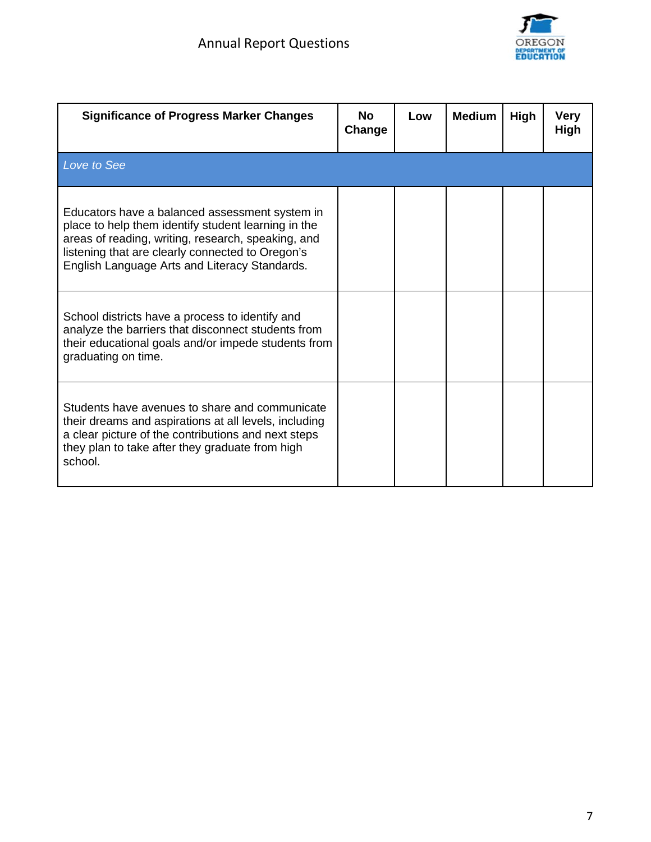

| <b>Significance of Progress Marker Changes</b>                                                                                                                                                                                                                   | <b>No</b><br>Change | Low | <b>Medium</b> | High | <b>Verv</b><br><b>High</b> |
|------------------------------------------------------------------------------------------------------------------------------------------------------------------------------------------------------------------------------------------------------------------|---------------------|-----|---------------|------|----------------------------|
| Love to See                                                                                                                                                                                                                                                      |                     |     |               |      |                            |
| Educators have a balanced assessment system in<br>place to help them identify student learning in the<br>areas of reading, writing, research, speaking, and<br>listening that are clearly connected to Oregon's<br>English Language Arts and Literacy Standards. |                     |     |               |      |                            |
| School districts have a process to identify and<br>analyze the barriers that disconnect students from<br>their educational goals and/or impede students from<br>graduating on time.                                                                              |                     |     |               |      |                            |
| Students have avenues to share and communicate<br>their dreams and aspirations at all levels, including<br>a clear picture of the contributions and next steps<br>they plan to take after they graduate from high<br>school.                                     |                     |     |               |      |                            |